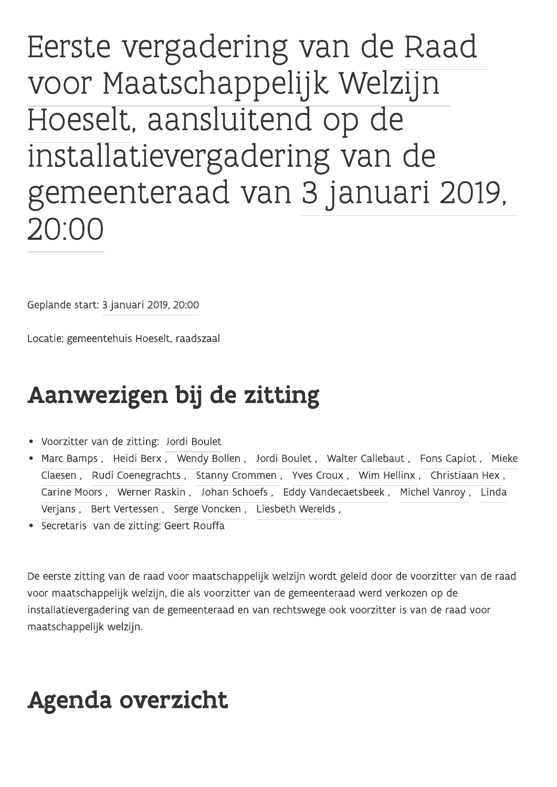Eerste vergadering van de Raad voor Maatschappelijk Welzijn Hoeselt, aansluitend op de installatievergadering van de gemeenteraad van 3 januari 2019, 20:00

Geplande start: 3 januari 2019, 20:00

Locatie: gemeentehuis Hoeselt, raadszaal

# Aanwezigen bij de zitting

- Voorzitter van de zitting: Jordi Boulet
- Marc Bamps, Heidi Berx, Wendy Bollen, Jordi Boulet, Walter Callebaut, Fons Capiot, Mieke Claesen, Rudi Coenegrachts, Stanny Crommen, Yves Croux, Wim Hellinx, Christiaan Hex, Carine Moors, Werner Raskin, Johan Schoefs, Eddy Vandecaetsbeek, Michel Vanroy, Linda Verjans, Bert Vertessen, Serge Voncken, Liesbeth Werelds,
- · Secretaris van de zitting: Geert Rouffa

De eerste zitting van de raad voor maatschappelijk welzijn wordt geleid door de voorzitter van de raad voor maatschappelijk welzijn, die als voorzitter van de gemeenteraad werd verkozen op de installatievergadering van de gemeenteraad en van rechtswege ook voorzitter is van de raad voor maatschappelijk welzijn.

# Agenda overzicht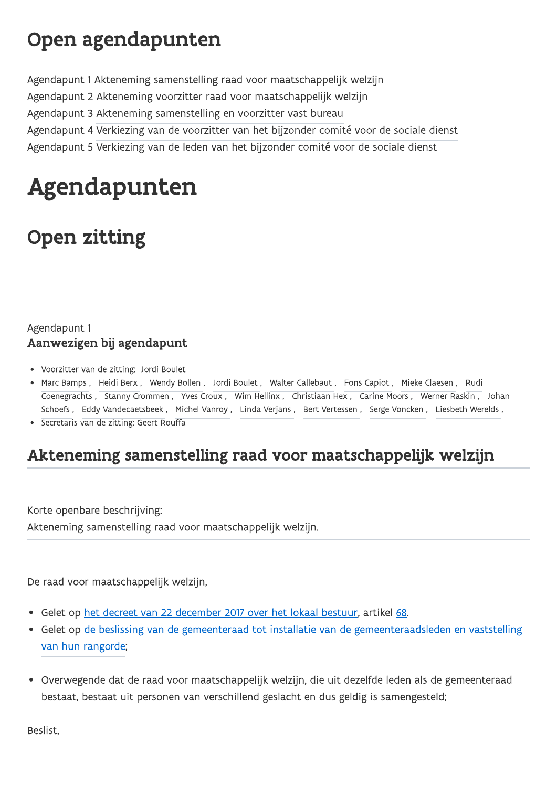## Open agendapunten

Agendapunt 1 Akteneming samenstelling raad voor maatschappelijk welzijn

Agendapunt 2 Akteneming voorzitter raad voor maatschappelijk welzijn

Agendapunt 3 Akteneming samenstelling en voorzitter vast bureau

Agendapunt 4 Verkiezing van de voorzitter van het bijzonder comité voor de sociale dienst

Agendapunt 5 Verkiezing van de leden van het bijzonder comité voor de sociale dienst

# Agendapunten

# **Open zitting**

### Agendapunt 1 Aanwezigen bij agendapunt

- Voorzitter van de zitting: Jordi Boulet
- Marc Bamps, Heidi Berx, Wendy Bollen, Jordi Boulet, Walter Callebaut, Fons Capiot, Mieke Claesen, Rudi Coenegrachts, Stanny Crommen, Yves Croux, Wim Hellinx, Christiaan Hex, Carine Moors, Werner Raskin, Johan Schoefs, Eddy Vandecaetsbeek, Michel Vanroy, Linda Verjans, Bert Vertessen, Serge Voncken, Liesbeth Werelds,
- · Secretaris van de zitting: Geert Rouffa

## Akteneming samenstelling raad voor maatschappelijk welzijn

Korte openbare beschrijving: Akteneming samenstelling raad voor maatschappelijk welzijn.

De raad voor maatschappelijk welzijn,

- Gelet op het decreet van 22 december 2017 over het lokaal bestuur, artikel 68.
- Gelet op de beslissing van de gemeenteraad tot installatie van de gemeenteraadsleden en vaststelling van hun rangorde;
- Overwegende dat de raad voor maatschappelijk welzijn, die uit dezelfde leden als de gemeenteraad bestaat, bestaat uit personen van verschillend geslacht en dus geldig is samengesteld;

Beslist,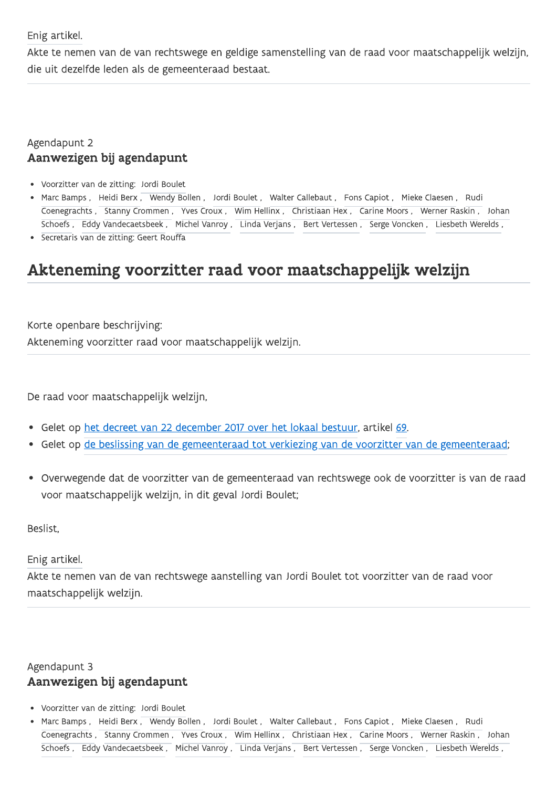Enig artikel.

Akte te nemen van de van rechtswege en geldige samenstelling van de raad voor maatschappelijk welzijn, die uit dezelfde leden als de gemeenteraad bestaat.

### Agendapunt 2 Aanwezigen bij agendapunt

- · Voorzitter van de zitting: Jordi Boulet
- Marc Bamps, Heidi Berx, Wendy Bollen, Jordi Boulet, Walter Callebaut, Fons Capiot, Mieke Claesen, Rudi Coenegrachts, Stanny Crommen, Yves Croux, Wim Hellinx, Christiaan Hex, Carine Moors, Werner Raskin, Johan Schoefs, Eddy Vandecaetsbeek, Michel Vanroy, Linda Verjans, Bert Vertessen, Serge Voncken, Liesbeth Werelds,
- · Secretaris van de zitting: Geert Rouffa

## Akteneming voorzitter raad voor maatschappelijk welzijn

Korte openbare beschrijving: Akteneming voorzitter raad voor maatschappelijk welzijn.

De raad voor maatschappelijk welzijn,

- Gelet op het decreet van 22 december 2017 over het lokaal bestuur, artikel 69.
- Gelet op de beslissing van de gemeenteraad tot verkiezing van de voorzitter van de gemeenteraad;
- Overwegende dat de voorzitter van de gemeenteraad van rechtswege ook de voorzitter is van de raad voor maatschappelijk welzijn, in dit geval Jordi Boulet;

Beslist.

Enig artikel.

Akte te nemen van de van rechtswege aanstelling van Jordi Boulet tot voorzitter van de raad voor maatschappelijk welzijn.

### Agendapunt 3 Aanwezigen bij agendapunt

- Voorzitter van de zitting: Jordi Boulet
- Marc Bamps, Heidi Berx, Wendy Bollen, Jordi Boulet, Walter Callebaut, Fons Capiot, Mieke Claesen, Rudi Coenegrachts, Stanny Crommen, Yves Croux, Wim Hellinx, Christiaan Hex, Carine Moors, Werner Raskin, Johan Schoefs, Eddy Vandecaetsbeek, Michel Vanroy, Linda Verjans, Bert Vertessen, Serge Voncken, Liesbeth Werelds,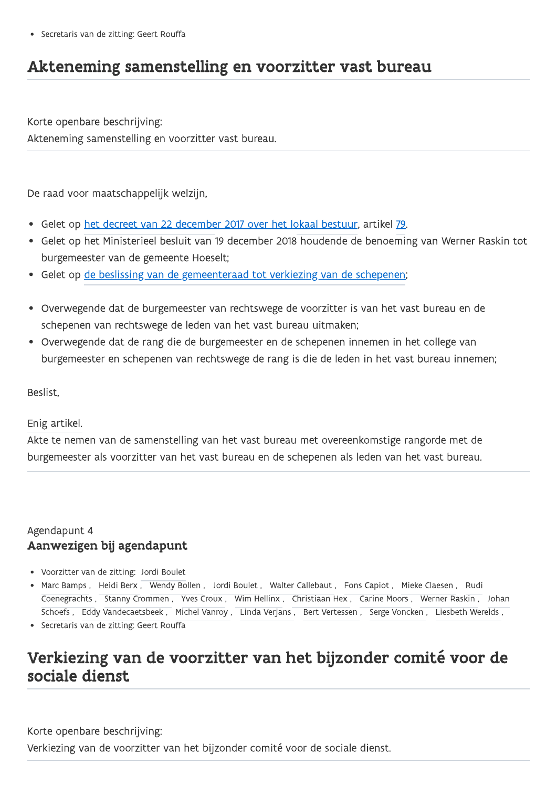## Akteneming samenstelling en voorzitter vast bureau

Korte openbare beschrijving: Akteneming samenstelling en voorzitter vast bureau.

De raad voor maatschappelijk welzijn,

- Gelet op het decreet van 22 december 2017 over het lokaal bestuur, artikel 79.
- Gelet op het Ministerieel besluit van 19 december 2018 houdende de benoeming van Werner Raskin tot burgemeester van de gemeente Hoeselt;
- Gelet op de beslissing van de gemeenteraad tot verkiezing van de schepenen;
- · Overwegende dat de burgemeester van rechtswege de voorzitter is van het vast bureau en de schepenen van rechtswege de leden van het vast bureau uitmaken;
- Overwegende dat de rang die de burgemeester en de schepenen innemen in het college van burgemeester en schepenen van rechtswege de rang is die de leden in het vast bureau innemen;

Beslist.

#### Enig artikel.

Akte te nemen van de samenstelling van het vast bureau met overeenkomstige rangorde met de burgemeester als voorzitter van het vast bureau en de schepenen als leden van het vast bureau.

#### Agendapunt 4 Aanwezigen bij agendapunt

- Voorzitter van de zitting: Jordi Boulet
- Marc Bamps, Heidi Berx, Wendy Bollen, Jordi Boulet, Walter Callebaut, Fons Capiot, Mieke Claesen, Rudi Coenegrachts, Stanny Crommen, Yves Croux, Wim Hellinx, Christiaan Hex, Carine Moors, Werner Raskin, Johan Schoefs, Eddy Vandecaetsbeek, Michel Vanroy, Linda Verjans, Bert Vertessen, Serge Voncken, Liesbeth Werelds,
- · Secretaris van de zitting: Geert Rouffa

### Verkiezing van de voorzitter van het bijzonder comité voor de sociale dienst

Korte openbare beschrijving: Verkiezing van de voorzitter van het bijzonder comité voor de sociale dienst.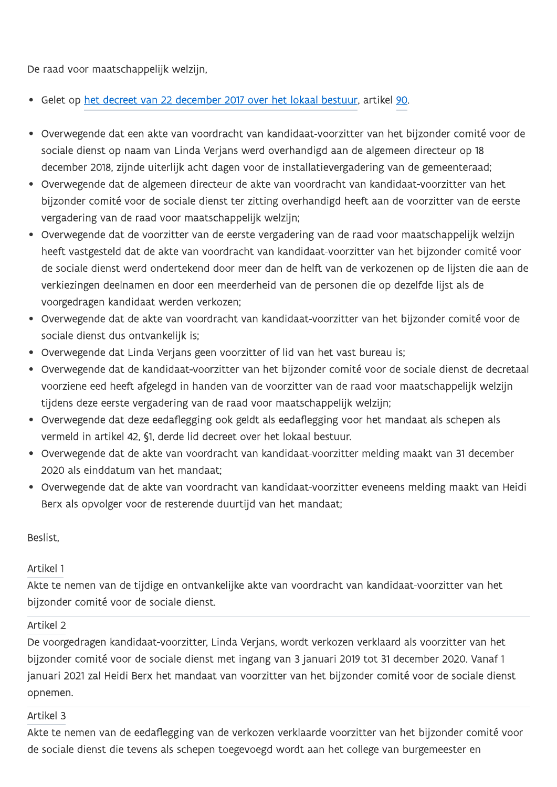De raad voor maatschappelijk welzijn,

- Gelet op het decreet van 22 december 2017 over het lokaal bestuur, artikel 90.
- · Overwegende dat een akte van voordracht van kandidaat-voorzitter van het bijzonder comité voor de sociale dienst op naam van Linda Verjans werd overhandigd aan de algemeen directeur op 18 december 2018, zijnde uiterlijk acht dagen voor de installatievergadering van de gemeenteraad;
- Overwegende dat de algemeen directeur de akte van voordracht van kandidaat-voorzitter van het bijzonder comité voor de sociale dienst ter zitting overhandigd heeft aan de voorzitter van de eerste vergadering van de raad voor maatschappelijk welzijn;
- · Overwegende dat de voorzitter van de eerste vergadering van de raad voor maatschappelijk welzijn heeft vastgesteld dat de akte van voordracht van kandidaat-voorzitter van het bijzonder comité voor de sociale dienst werd ondertekend door meer dan de helft van de verkozenen op de lijsten die aan de verkiezingen deelnamen en door een meerderheid van de personen die op dezelfde lijst als de voorgedragen kandidaat werden verkozen;
- · Overwegende dat de akte van voordracht van kandidaat-voorzitter van het bijzonder comité voor de sociale dienst dus ontvankelijk is;
- Overwegende dat Linda Verjans geen voorzitter of lid van het vast bureau is;
- · Overwegende dat de kandidaat-voorzitter van het bijzonder comité voor de sociale dienst de decretaal voorziene eed heeft afgelegd in handen van de voorzitter van de raad voor maatschappelijk welzijn tijdens deze eerste vergadering van de raad voor maatschappelijk welzijn;
- Overwegende dat deze eedaflegging ook geldt als eedaflegging voor het mandaat als schepen als vermeld in artikel 42, §1, derde lid decreet over het lokaal bestuur.
- Overwegende dat de akte van voordracht van kandidaat-voorzitter melding maakt van 31 december 2020 als einddatum van het mandaat;
- Overwegende dat de akte van voordracht van kandidaat-voorzitter eveneens melding maakt van Heidi Berx als opvolger voor de resterende duurtijd van het mandaat;

Beslist.

#### Artikel 1

Akte te nemen van de tijdige en ontvankelijke akte van voordracht van kandidaat-voorzitter van het bijzonder comité voor de sociale dienst.

#### Artikel 2

De voorgedragen kandidaat-voorzitter, Linda Verjans, wordt verkozen verklaard als voorzitter van het bijzonder comité voor de sociale dienst met ingang van 3 januari 2019 tot 31 december 2020. Vanaf 1 januari 2021 zal Heidi Berx het mandaat van voorzitter van het bijzonder comité voor de sociale dienst opnemen.

#### Artikel 3

Akte te nemen van de eedaflegging van de verkozen verklaarde voorzitter van het bijzonder comité voor de sociale dienst die tevens als schepen toegevoegd wordt aan het college van burgemeester en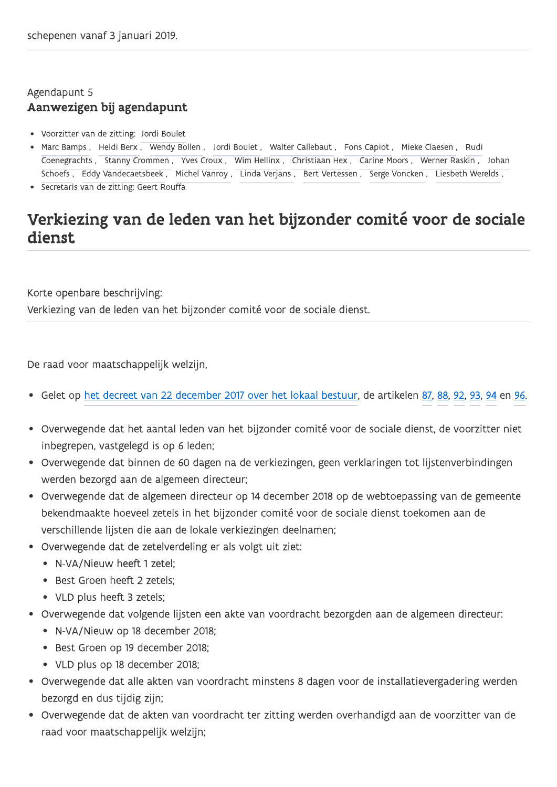### Agendapunt 5 Aanwezigen bij agendapunt

- Voorzitter van de zitting: Jordi Boulet
- Marc Bamps, Heidi Berx, Wendy Bollen, Jordi Boulet, Walter Callebaut, Fons Capiot, Mieke Claesen, Rudi Coenegrachts, Stanny Crommen, Yves Croux, Wim Hellinx, Christiaan Hex, Carine Moors, Werner Raskin, Johan Schoefs, Eddy Vandecaetsbeek, Michel Vanroy, Linda Verjans, Bert Vertessen, Serge Voncken, Liesbeth Werelds,
- · Secretaris van de zitting: Geert Rouffa

## Verkiezing van de leden van het bijzonder comité voor de sociale dienst.

Korte openbare beschrijving: Verkiezing van de leden van het bijzonder comité voor de sociale dienst.

De raad voor maatschappelijk welzijn,

- Gelet op het decreet van 22 december 2017 over het lokaal bestuur, de artikelen 87, 88, 92, 93, 94 en 96.
- · Overwegende dat het aantal leden van het bijzonder comité voor de sociale dienst, de voorzitter niet inbegrepen, vastgelegd is op 6 leden;
- · Overwegende dat binnen de 60 dagen na de verkiezingen, geen verklaringen tot lijstenverbindingen werden bezorgd aan de algemeen directeur;
- Overwegende dat de algemeen directeur op 14 december 2018 op de webtoepassing van de gemeente bekendmaakte hoeveel zetels in het bijzonder comité voor de sociale dienst toekomen aan de verschillende lijsten die aan de lokale verkiezingen deelnamen;
- Overwegende dat de zetelverdeling er als volgt uit ziet:
	- N-VA/Nieuw heeft 1 zetel:
	- Best Groen heeft 2 zetels:
	- VLD plus heeft 3 zetels;
- · Overwegende dat volgende lijsten een akte van voordracht bezorgden aan de algemeen directeur:
	- N-VA/Nieuw op 18 december 2018;
	- Best Groen op 19 december 2018;
	- VLD plus op 18 december 2018;
- · Overwegende dat alle akten van voordracht minstens 8 dagen voor de installatievergadering werden bezorgd en dus tijdig zijn;
- · Overwegende dat de akten van voordracht ter zitting werden overhandigd aan de voorzitter van de raad voor maatschappelijk welzijn;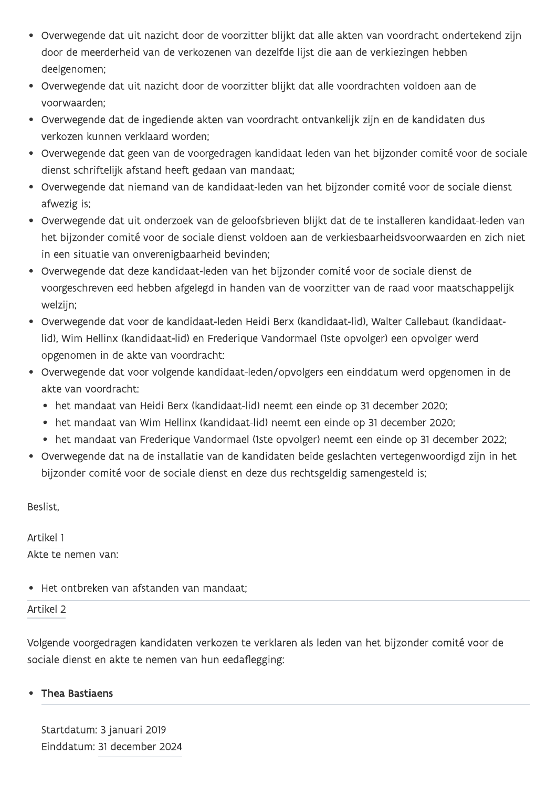- · Overwegende dat uit nazicht door de voorzitter blijkt dat alle akten van voordracht ondertekend zijn door de meerderheid van de verkozenen van dezelfde lijst die aan de verkiezingen hebben deelgenomen;
- · Overwegende dat uit nazicht door de voorzitter blijkt dat alle voordrachten voldoen aan de voorwaarden:
- · Overwegende dat de ingediende akten van voordracht ontvankelijk zijn en de kandidaten dus verkozen kunnen verklaard worden;
- · Overwegende dat geen van de voorgedragen kandidaat-leden van het bijzonder comité voor de sociale dienst schriftelijk afstand heeft gedaan van mandaat;
- Overwegende dat niemand van de kandidaat-leden van het bijzonder comité voor de sociale dienst afwezig is:
- · Overwegende dat uit onderzoek van de geloofsbrieven blijkt dat de te installeren kandidaat-leden van het bijzonder comité voor de sociale dienst voldoen aan de verkiesbaarheidsvoorwaarden en zich niet in een situatie van onverenigbaarheid bevinden;
- · Overwegende dat deze kandidaat-leden van het bijzonder comité voor de sociale dienst de voorgeschreven eed hebben afgelegd in handen van de voorzitter van de raad voor maatschappelijk welzijn;
- · Overwegende dat voor de kandidaat-leden Heidi Berx (kandidaat-lid), Walter Callebaut (kandidaatlid), Wim Hellinx (kandidaat-lid) en Frederique Vandormael (1ste opvolger) een opvolger werd opgenomen in de akte van voordracht:
- · Overwegende dat voor volgende kandidaat-leden/opvolgers een einddatum werd opgenomen in de akte van voordracht:
	- het mandaat van Heidi Berx (kandidaat-lid) neemt een einde op 31 december 2020;
	- het mandaat van Wim Hellinx (kandidaat-lid) neemt een einde op 31 december 2020;
	- het mandaat van Frederique Vandormael (1ste opvolger) neemt een einde op 31 december 2022;
- · Overwegende dat na de installatie van de kandidaten beide geslachten vertegenwoordigd zijn in het bijzonder comité voor de sociale dienst en deze dus rechtsgeldig samengesteld is;

Beslist.

Artikel 1 Akte te nemen van:

· Het ontbreken van afstanden van mandaat:

#### Artikel 2

Volgende voorgedragen kandidaten verkozen te verklaren als leden van het bijzonder comité voor de sociale dienst en akte te nemen van hun eedaflegging:

#### **Thea Bastiaens**

Startdatum: 3 januari 2019 Einddatum: 31 december 2024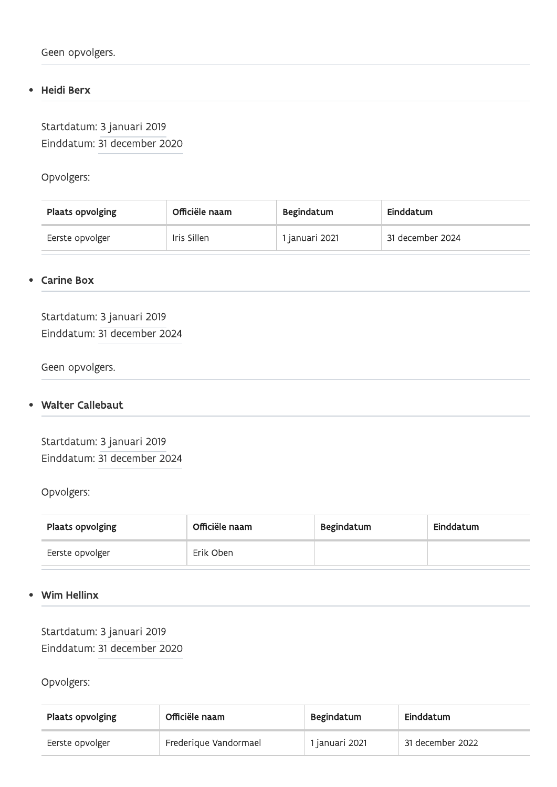#### Heidi Berx  $\bullet$

Startdatum: 3 januari 2019 Einddatum: 31 december 2020

Opvolgers:

| Plaats opvolging | Officiële naam | Begindatum     | Einddatum        |
|------------------|----------------|----------------|------------------|
| Eerste opvolger  | Iris Sillen    | I januari 2021 | 31 december 2024 |

#### **Carine Box**  $\bullet$

Startdatum: 3 januari 2019 Einddatum: 31 december 2024

Geen opvolgers.

#### **Walter Callebaut**  $\bullet$

Startdatum: 3 januari 2019 Einddatum: 31 december 2024

#### Opvolgers:

| Plaats opvolging | Officiële naam | Begindatum | Einddatum |
|------------------|----------------|------------|-----------|
| Eerste opvolger  | Erik Oben      |            |           |

#### **Wim Hellinx**  $\bullet$

Startdatum: 3 januari 2019 Einddatum: 31 december 2020

Opvolgers:

| Plaats opvolging | Officiële naam        | Begindatum     | Einddatum        |
|------------------|-----------------------|----------------|------------------|
| Eerste opvolger  | Frederique Vandormael | 1 januari 2021 | 31 december 2022 |